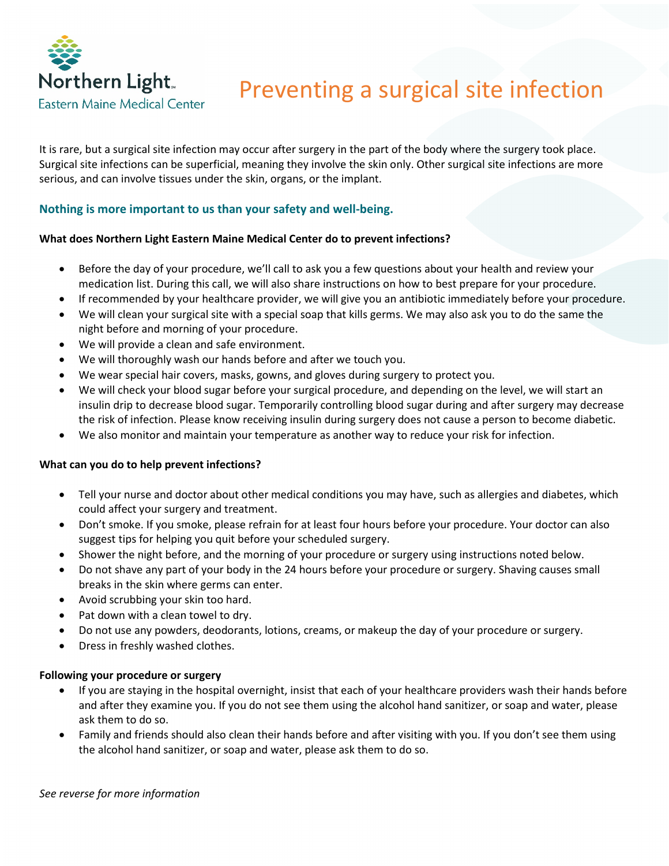

# Preventing a surgical site infection

It is rare, but a surgical site infection may occur after surgery in the part of the body where the surgery took place. Surgical site infections can be superficial, meaning they involve the skin only. Other surgical site infections are more serious, and can involve tissues under the skin, organs, or the implant.

# **Nothing is more important to us than your safety and well-being.**

## **What does Northern Light Eastern Maine Medical Center do to prevent infections?**

- Before the day of your procedure, we'll call to ask you a few questions about your health and review your medication list. During this call, we will also share instructions on how to best prepare for your procedure.
- If recommended by your healthcare provider, we will give you an antibiotic immediately before your procedure.
- We will clean your surgical site with a special soap that kills germs. We may also ask you to do the same the night before and morning of your procedure.
- We will provide a clean and safe environment.
- We will thoroughly wash our hands before and after we touch you.
- We wear special hair covers, masks, gowns, and gloves during surgery to protect you.
- We will check your blood sugar before your surgical procedure, and depending on the level, we will start an insulin drip to decrease blood sugar. Temporarily controlling blood sugar during and after surgery may decrease the risk of infection. Please know receiving insulin during surgery does not cause a person to become diabetic.
- We also monitor and maintain your temperature as another way to reduce your risk for infection.

#### **What can you do to help prevent infections?**

- Tell your nurse and doctor about other medical conditions you may have, such as allergies and diabetes, which could affect your surgery and treatment.
- Don't smoke. If you smoke, please refrain for at least four hours before your procedure. Your doctor can also suggest tips for helping you quit before your scheduled surgery.
- Shower the night before, and the morning of your procedure or surgery using instructions noted below.
- Do not shave any part of your body in the 24 hours before your procedure or surgery. Shaving causes small breaks in the skin where germs can enter.
- Avoid scrubbing your skin too hard.
- Pat down with a clean towel to dry.
- Do not use any powders, deodorants, lotions, creams, or makeup the day of your procedure or surgery.
- Dress in freshly washed clothes.

#### **Following your procedure or surgery**

- If you are staying in the hospital overnight, insist that each of your healthcare providers wash their hands before and after they examine you. If you do not see them using the alcohol hand sanitizer, or soap and water, please ask them to do so.
- Family and friends should also clean their hands before and after visiting with you. If you don't see them using the alcohol hand sanitizer, or soap and water, please ask them to do so.

*See reverse for more information*